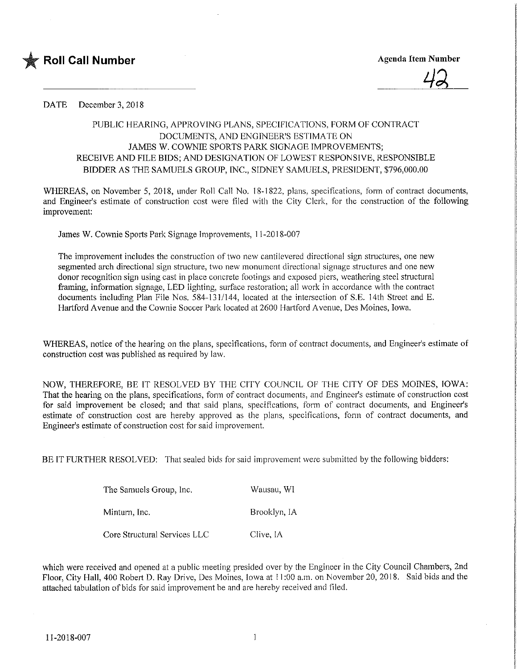

## DATE December 3, 2018

## PUBLIC HEARING, APPROVING PLANS, SPECIFICATIONS, FORM OF CONTRACT DOCUMENTS, AND ENGINEER'S ESTIMATE ON JAMES W. COWNIE SPORTS PARK SIGNAGE IMPROVEMENTS; RECEIVE AND FILE BIDS; AND DESIGNATION OF LOWEST RESPONSIVE, RESPONSIBLE BIDDER AS THE SAMUELS GROUP, INC., SIDNEY SAMUELS, PRESIDENT, \$796,000.00

WHEREAS, on November 5, 2018, under Roll Call No. 18-1822, plans, specifications, form of contract documents, and Engineer's estimate of construction cost were filed with the City Clerk, for the construction of the following improvement:

James W. Cownie Sports Park Signage Improvements, 11 -2018-007

The improvement includes the construction of two new cantilevered directiona! sign structures, one new segmented arch directional sign structure, two new monument directional signage structures and one new donor recognition sign using cast in place concrete footings and exposed piers, weathering steel structural framing, information signage, LED lighting, surface restoration; all work in accordance with the contract documents including Plan File Nos. 584-131/144, located at the intersection of S.E. 14th Street and E. Hartford Avenue and the Cownie Soccer Park located at 2600 Hartford Avenue, Des Moines, Iowa.

WHEREAS, notice of the hearing on the plans, specifications, form of contract documents, and Engineer's estimate of construction cost was published as required by law.

NOW, THEREFORE, BE IT RESOLVED BY THE CTTY COUNCIL OF THE CITY OF DES MOINES, IOWA: That the hearing on the plans, specifications, form of contract documents, and Engineer's estimate of construction cost for said improvement be closed; and that said plans, specifications, form of contract documents, and Engineer's estimate of construction cost are hereby approved as the plans, specifications, form of contract documents, and Engineer's estimate of construction cost for said improvement.

BE IT FURTHER RESOLVED: That sealed bids for said improvement were submitted by the following bidders:

| The Samuels Group, Inc.      | Wausau, WI   |
|------------------------------|--------------|
| Minturn, Inc.                | Brooklyn, IA |
| Core Structural Services LLC | Clive, IA    |

which were received and opened at a public meeting presided over by the Engineer in the City Council Chambers, 2nd Floor, City Hall, 400 Robert D. Ray Drive, Des Moines, Iowa at 11:00 a.m. on November 20, 20 18, Said bids and the attached tabulation of bids for said improvement be and are hereby received and filed.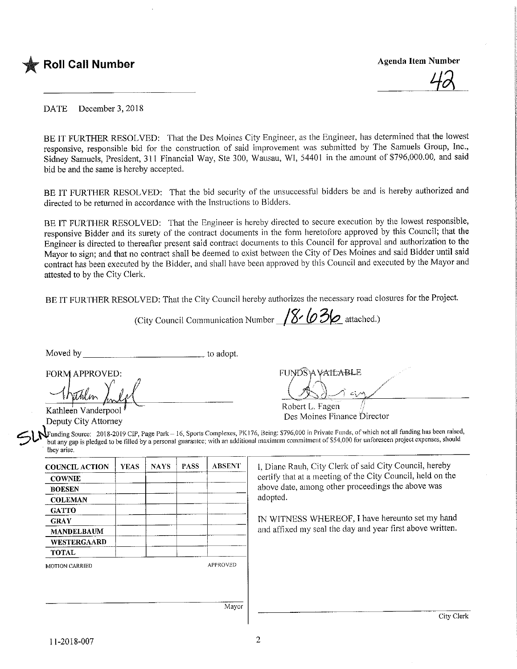

DATE December 3, 2018

BE IT FURTHER RESOLVED: That the Des Moines City Engineer, as the Engineer, has determined that the lowest responsive, responsible bid for the construction of said improvement was submitted by The Samuels Group, Inc., Sidney Samuels, President, 311 Financial Way, Ste 300, Wausau, WI, 54401 in the amount of \$796,000.00, and said bid be and the same is hereby accepted.

BE IT FURTHER RESOLVED: That the bid security of the unsuccessful bidders be and is hereby authorized and directed to be returned in accordance with the Instructions to Bidders.

BE IT FURTHER RESOLVED: That the Engineer is hereby directed to secure execution by the lowest responsible, responsive Bidder and its surety of the contract documents in the form heretofore approved by this Council; that the Engineer is directed to thereafter present said contract documents to this Council for approval and authorization to the Mayor to sign; and that no contract shall be deemed to exist between the City of Des Moines and said Bidder until said contract has been executed by the Bidder, and shall have been approved by this Council and executed by the Mayor and attested to by the City Clerk.

BE IT FURTHER RESOLVED: That the City Council hereby authorizes the necessary road closures for the Project.

(City Council Communication Number  $/ \frac{8}{6}$  ( $\frac{3}{6}$  attached.)

Moved by the contract of the contract of a dopt.

 $FUNDS$ <sup>A</sup> $V$ ATEABLE

Kathleen Vanderpool Deputy City Attorney

Robert L. Fagen //<br>Des Moines Finance Director

Kathleen Vanderpool *I*<br>Deputy City Attorney<br>Deputy City Attorney<br>Des Moines Finance Director<br>Deputy City Attorney<br>Des Moines Finance Director<br>but any gap is pledged to be filled by a personal guarantee; with an additional Funding Source: 2018-2019 CIP, Page Park - 16, Sports Complexes, PK176, Being: \$796,000 in Private Funds, of which not all funding has been raised, but any gap is pledged to be filled by a personal guarantee; with an additional maximum commitment of \$54,000 for unforeseen project expenses, should they arise.

| <b>COUNCIL ACTION</b> | <b>YEAS</b> | <b>NAYS</b> | <b>PASS</b> | <b>ABSENT</b>   |
|-----------------------|-------------|-------------|-------------|-----------------|
| <b>COWNIE</b>         |             |             |             |                 |
| <b>BOESEN</b>         |             |             |             |                 |
| <b>COLEMAN</b>        |             |             |             |                 |
| <b>GATTO</b>          |             |             |             |                 |
| <b>GRAY</b>           |             |             |             |                 |
| <b>MANDELBAUM</b>     |             |             |             |                 |
| <b>WESTERGAARD</b>    |             |             |             |                 |
| <b>TOTAL</b>          |             |             |             |                 |
| <b>MOTION CARRIED</b> |             |             |             | <b>APPROVED</b> |
|                       |             |             |             |                 |

1, Diane Rauh, City Clerk of said City Council, hereby certify that at a meeting of the City Council, held on the above date, among other proceedings the above was adopted.

IN WITNESS WHEREOF, T have hereunto set my hand and affixed my seal the day and year first above written.

Mayor